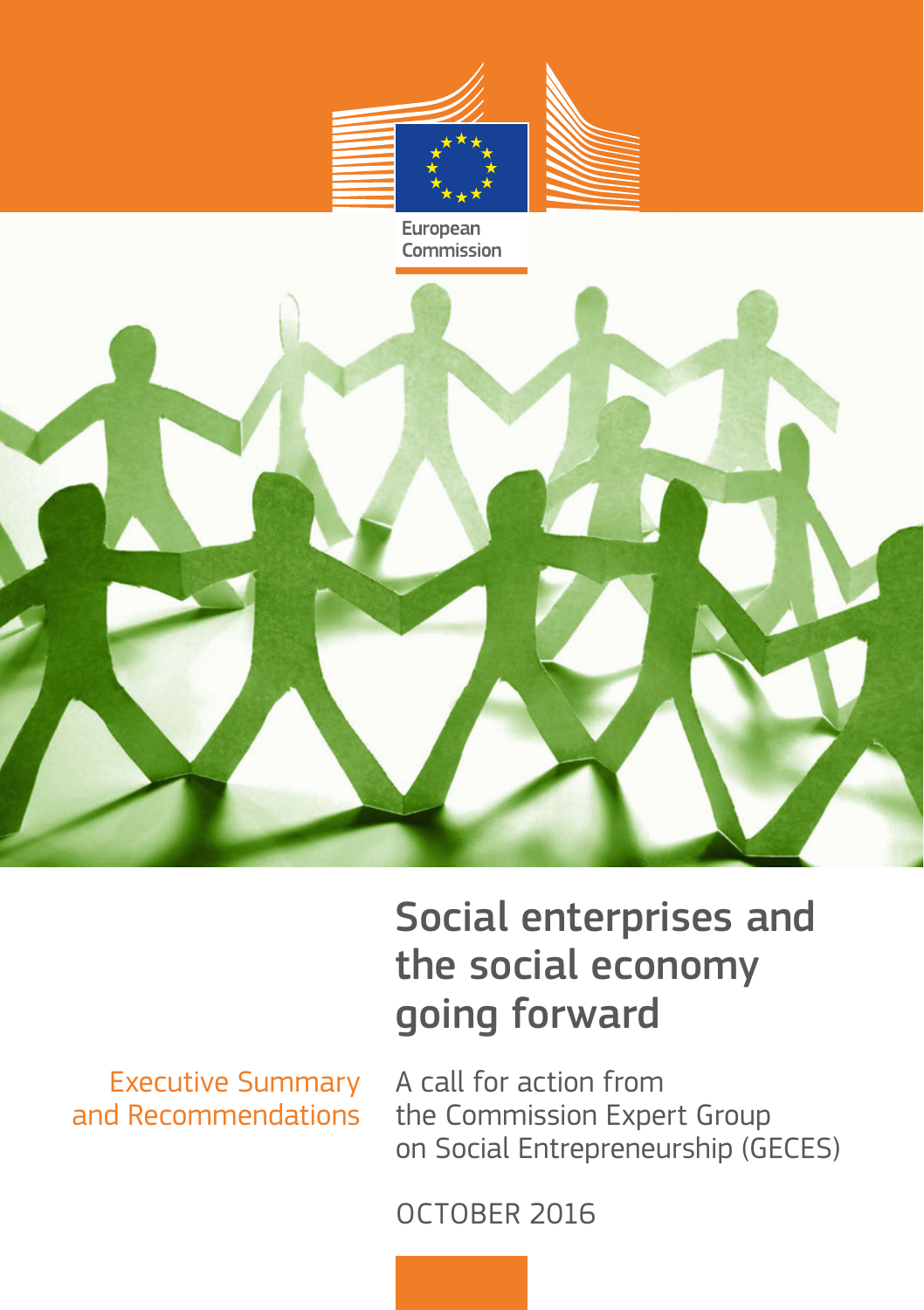

#### European Commission



Executive Summary and Recommendations

Social enterprises and the social economy going forward

A call for action from the Commission Expert Group on Social Entrepreneurship (GECES)

OCTOBER 2016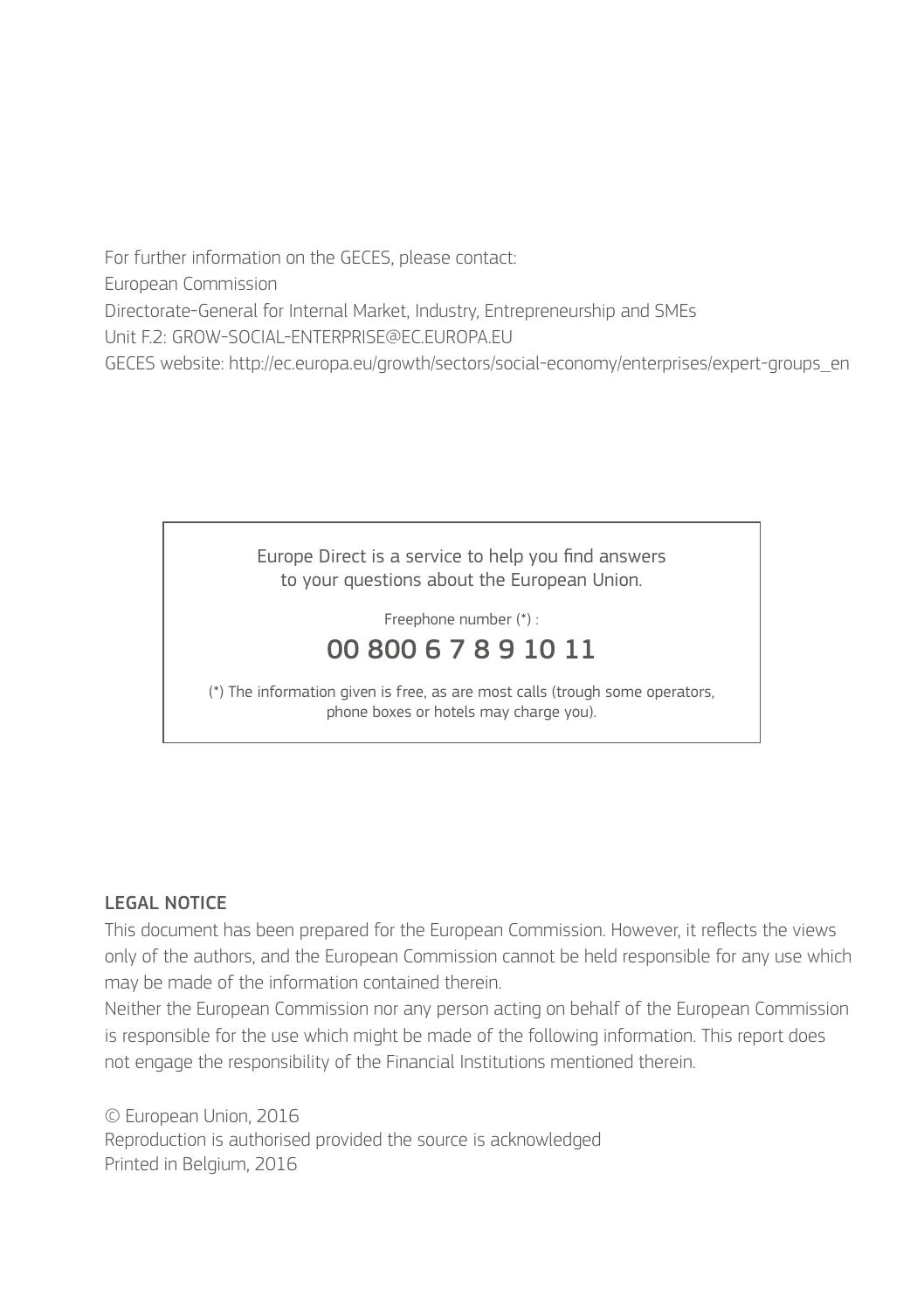For further information on the GECES, please contact: European Commission Directorate-General for Internal Market, Industry, Entrepreneurship and SMEs Unit F.2: GROW-SOCIAL-ENTERPRISE@EC.EUROPA.EU GECES website: http://ec.europa.eu/growth/sectors/social-economy/enterprises/expert-groups\_en



Freephone number (\*) :

### 00 800 6 7 8 9 10 11

(\*) The information given is free, as are most calls (trough some operators, phone boxes or hotels may charge you).

#### LEGAL NOTICE

This document has been prepared for the European Commission. However, it reflects the views only of the authors, and the European Commission cannot be held responsible for any use which may be made of the information contained therein.

Neither the European Commission nor any person acting on behalf of the European Commission is responsible for the use which might be made of the following information. This report does not engage the responsibility of the Financial Institutions mentioned therein.

© European Union, 2016 Reproduction is authorised provided the source is acknowledged Printed in Belgium, 2016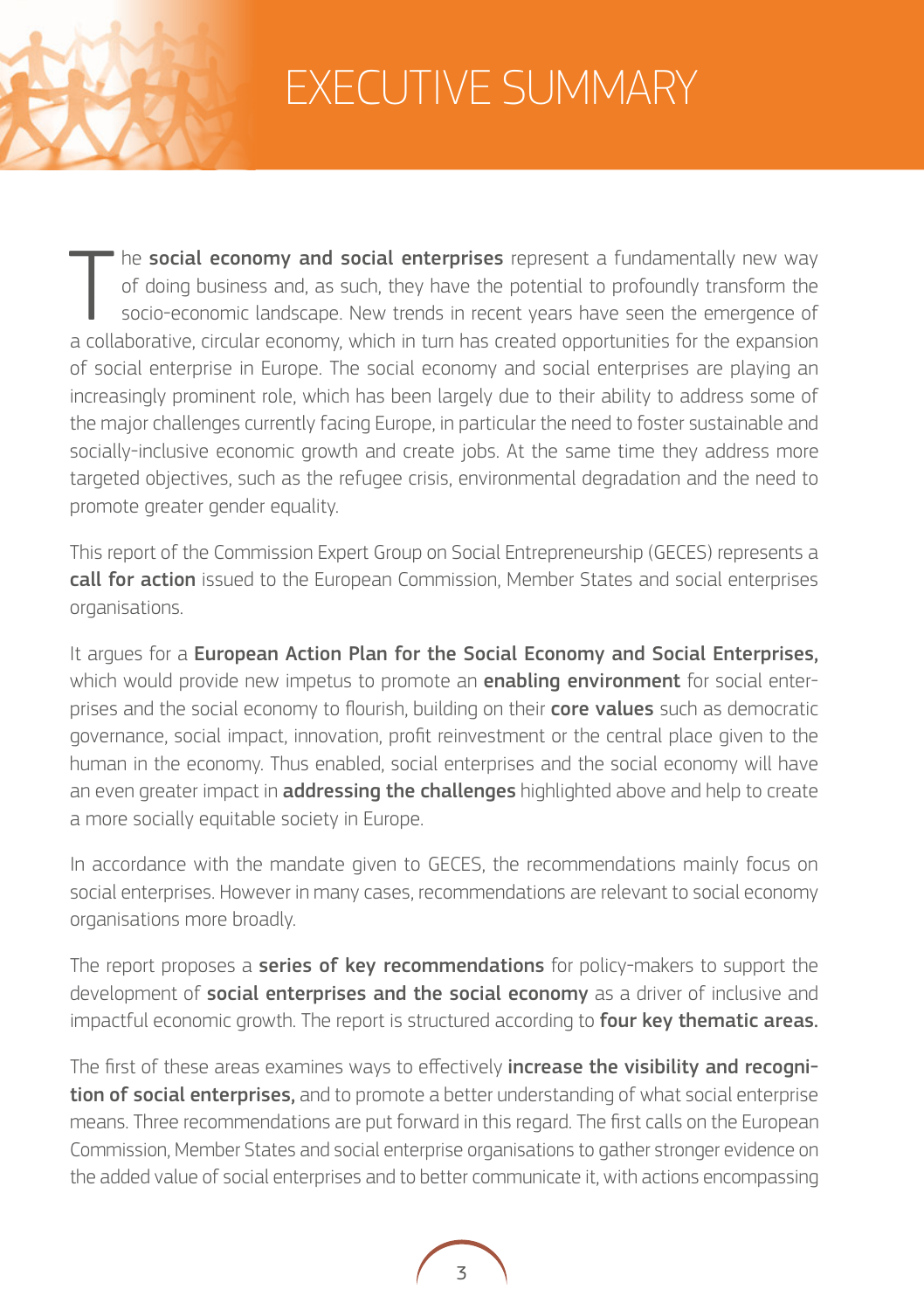

# EXECUTIVE SUMMARY

The **social economy and social enterprises** represent a fundamentally new way of doing business and, as such, they have the potential to profoundly transform the socio-economic landscape. New trends in recent years have se he social economy and social enterprises represent a fundamentally new way of doing business and, as such, they have the potential to profoundly transform the socio-economic landscape. New trends in recent years have seen the emergence of of social enterprise in Europe. The social economy and social enterprises are playing an increasingly prominent role, which has been largely due to their ability to address some of the major challenges currently facing Europe, in particular the need to foster sustainable and socially-inclusive economic growth and create jobs. At the same time they address more targeted objectives, such as the refugee crisis, environmental degradation and the need to promote greater gender equality.

This report of the Commission Expert Group on Social Entrepreneurship (GECES) represents a **call for action** issued to the European Commission, Member States and social enterprises organisations.

It arques for a European Action Plan for the Social Economy and Social Enterprises, which would provide new impetus to promote an **enabling environment** for social enterprises and the social economy to flourish, building on their core values such as democratic governance, social impact, innovation, profit reinvestment or the central place given to the human in the economy. Thus enabled, social enterprises and the social economy will have an even greater impact in **addressing the challenges** highlighted above and help to create a more socially equitable society in Europe.

In accordance with the mandate given to GECES, the recommendations mainly focus on social enterprises. However in many cases, recommendations are relevant to social economy organisations more broadly.

The report proposes a series of key recommendations for policy-makers to support the development of social enterprises and the social economy as a driver of inclusive and impactful economic growth. The report is structured according to four key thematic areas.

The first of these areas examines ways to effectively increase the visibility and recognition of social enterprises, and to promote a better understanding of what social enterprise means. Three recommendations are put forward in this regard. The first calls on the European Commission, Member States and social enterprise organisations to gather stronger evidence on the added value of social enterprises and to better communicate it, with actions encompassing

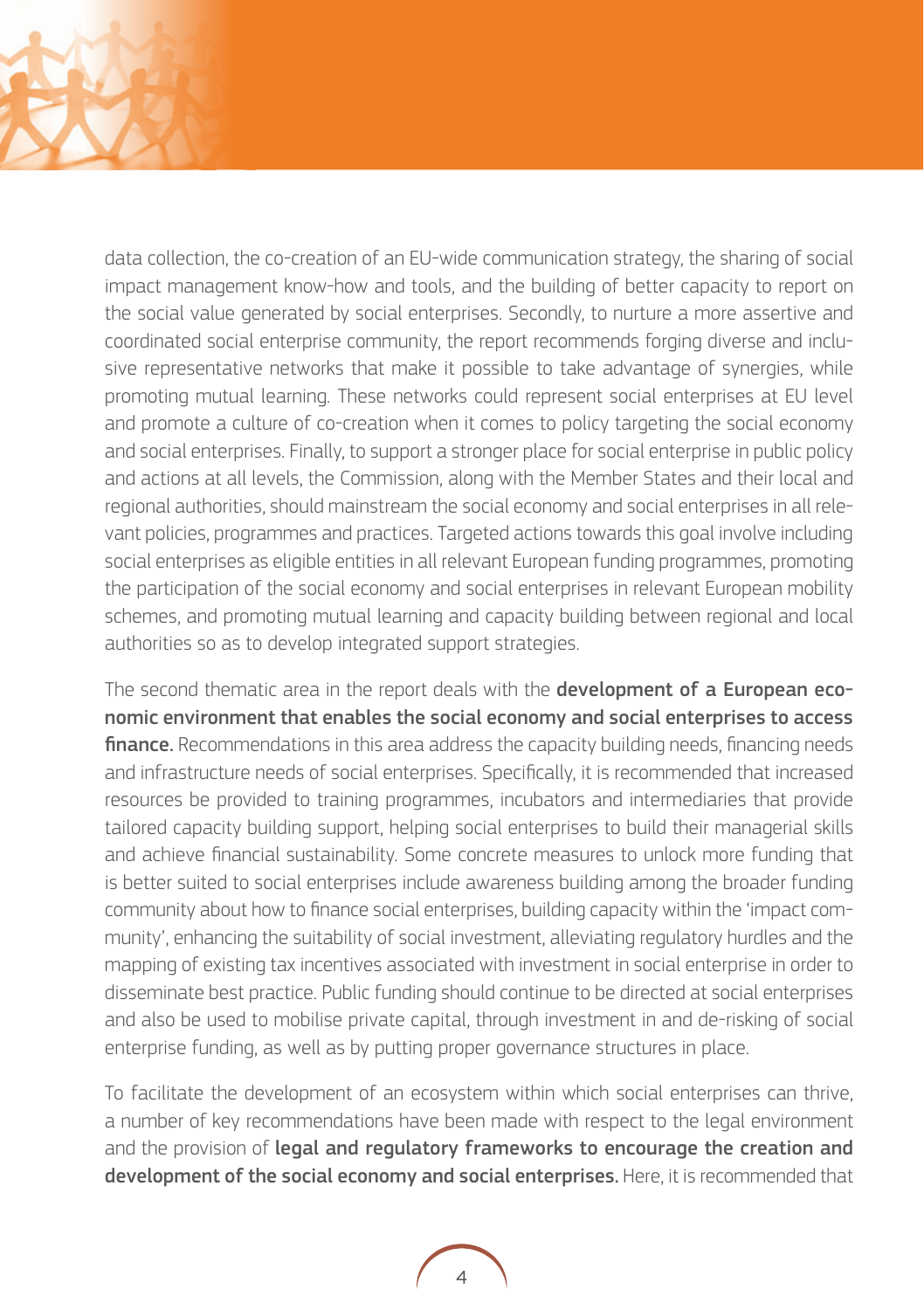

data collection, the co-creation of an EU-wide communication strategy, the sharing of social impact management know-how and tools, and the building of better capacity to report on the social value generated by social enterprises. Secondly, to nurture a more assertive and coordinated social enterprise community, the report recommends forging diverse and inclusive representative networks that make it possible to take advantage of synergies, while promoting mutual learning. These networks could represent social enterprises at EU level and promote a culture of co-creation when it comes to policy targeting the social economy and social enterprises. Finally, to support a stronger place for social enterprise in public policy and actions at all levels, the Commission, along with the Member States and their local and regional authorities, should mainstream the social economy and social enterprises in all relevant policies, programmes and practices. Targeted actions towards this goal involve including social enterprises as eligible entities in all relevant European funding programmes, promoting the participation of the social economy and social enterprises in relevant European mobility schemes, and promoting mutual learning and capacity building between regional and local authorities so as to develop integrated support strategies.

The second thematic area in the report deals with the **development of a European eco**nomic environment that enables the social economy and social enterprises to access finance. Recommendations in this area address the capacity building needs, financing needs and infrastructure needs of social enterprises. Specifically, it is recommended that increased resources be provided to training programmes, incubators and intermediaries that provide tailored capacity building support, helping social enterprises to build their managerial skills and achieve financial sustainability. Some concrete measures to unlock more funding that is better suited to social enterprises include awareness building among the broader funding community about how to finance social enterprises, building capacity within the 'impact community', enhancing the suitability of social investment, alleviating regulatory hurdles and the mapping of existing tax incentives associated with investment in social enterprise in order to disseminate best practice. Public funding should continue to be directed at social enterprises and also be used to mobilise private capital, through investment in and de-risking of social enterprise funding, as well as by putting proper governance structures in place.

To facilitate the development of an ecosystem within which social enterprises can thrive, a number of key recommendations have been made with respect to the legal environment and the provision of legal and regulatory frameworks to encourage the creation and development of the social economy and social enterprises. Here, it is recommended that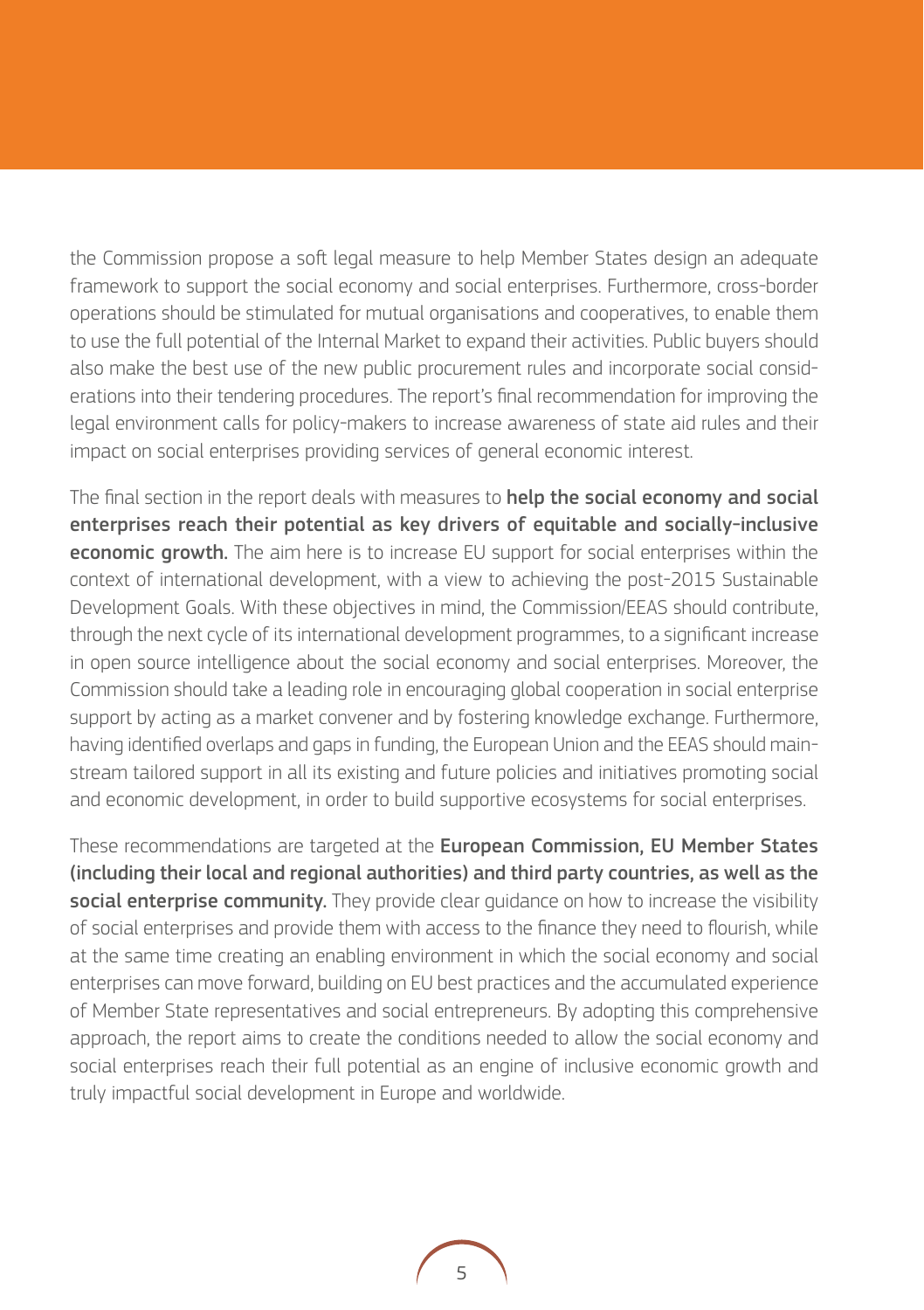the Commission propose a soft legal measure to help Member States design an adequate framework to support the social economy and social enterprises. Furthermore, cross-border operations should be stimulated for mutual organisations and cooperatives, to enable them to use the full potential of the Internal Market to expand their activities. Public buyers should also make the best use of the new public procurement rules and incorporate social considerations into their tendering procedures. The report's final recommendation for improving the legal environment calls for policy-makers to increase awareness of state aid rules and their impact on social enterprises providing services of general economic interest.

The final section in the report deals with measures to **help the social economy and social** enterprises reach their potential as key drivers of equitable and socially-inclusive **economic growth.** The aim here is to increase EU support for social enterprises within the context of international development, with a view to achieving the post-2015 Sustainable Development Goals. With these objectives in mind, the Commission/EEAS should contribute, through the next cycle of its international development programmes, to a significant increase in open source intelligence about the social economy and social enterprises. Moreover, the Commission should take a leading role in encouraging global cooperation in social enterprise support by acting as a market convener and by fostering knowledge exchange. Furthermore, having identified overlaps and gaps in funding, the European Union and the EEAS should mainstream tailored support in all its existing and future policies and initiatives promoting social and economic development, in order to build supportive ecosystems for social enterprises.

These recommendations are targeted at the European Commission, EU Member States (including their local and regional authorities) and third party countries, as well as the social enterprise community. They provide clear quidance on how to increase the visibility of social enterprises and provide them with access to the finance they need to flourish, while at the same time creating an enabling environment in which the social economy and social enterprises can move forward, building on EU best practices and the accumulated experience of Member State representatives and social entrepreneurs. By adopting this comprehensive approach, the report aims to create the conditions needed to allow the social economy and social enterprises reach their full potential as an engine of inclusive economic growth and truly impactful social development in Europe and worldwide.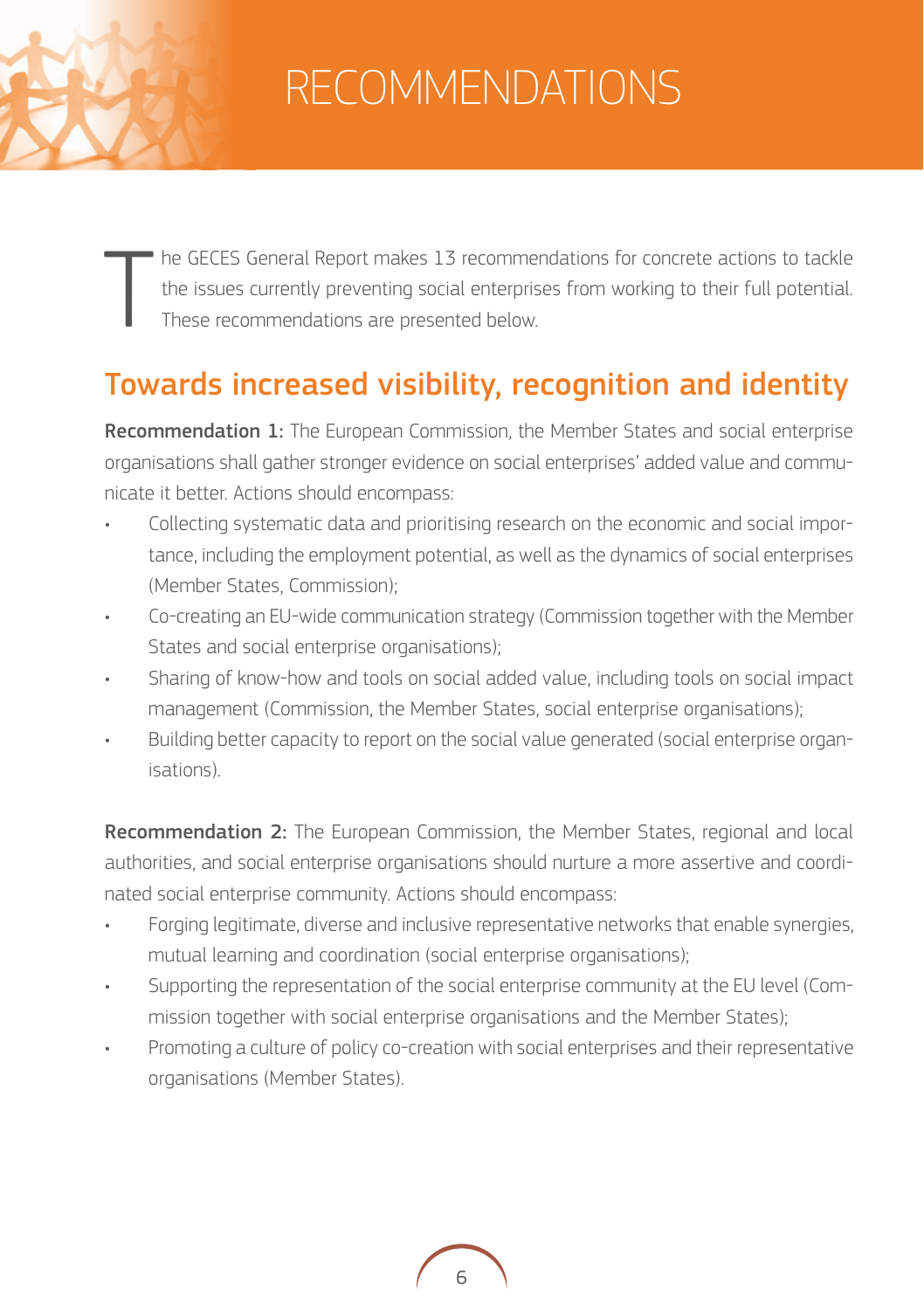# RECOMMENDATIONS

T he GECES General Report makes 13 recommendations for concrete actions to tackle the issues currently preventing social enterprises from working to their full potential. These recommendations are presented below.

## Towards increased visibility, recognition and identity

Recommendation 1: The European Commission, the Member States and social enterprise organisations shall gather stronger evidence on social enterprises' added value and communicate it better. Actions should encompass:

- Collecting systematic data and prioritising research on the economic and social importance, including the employment potential, as well as the dynamics of social enterprises (Member States, Commission);
- Co-creating an EU-wide communication strategy (Commission together with the Member States and social enterprise organisations);
- Sharing of know-how and tools on social added value, including tools on social impact management (Commission, the Member States, social enterprise organisations);
- Building better capacity to report on the social value generated (social enterprise organisations).

**Recommendation 2:** The European Commission, the Member States, regional and local authorities, and social enterprise organisations should nurture a more assertive and coordinated social enterprise community. Actions should encompass:

- Forging legitimate, diverse and inclusive representative networks that enable synergies, mutual learning and coordination (social enterprise organisations);
- Supporting the representation of the social enterprise community at the EU level (Commission together with social enterprise organisations and the Member States);
- Promoting a culture of policy co-creation with social enterprises and their representative organisations (Member States).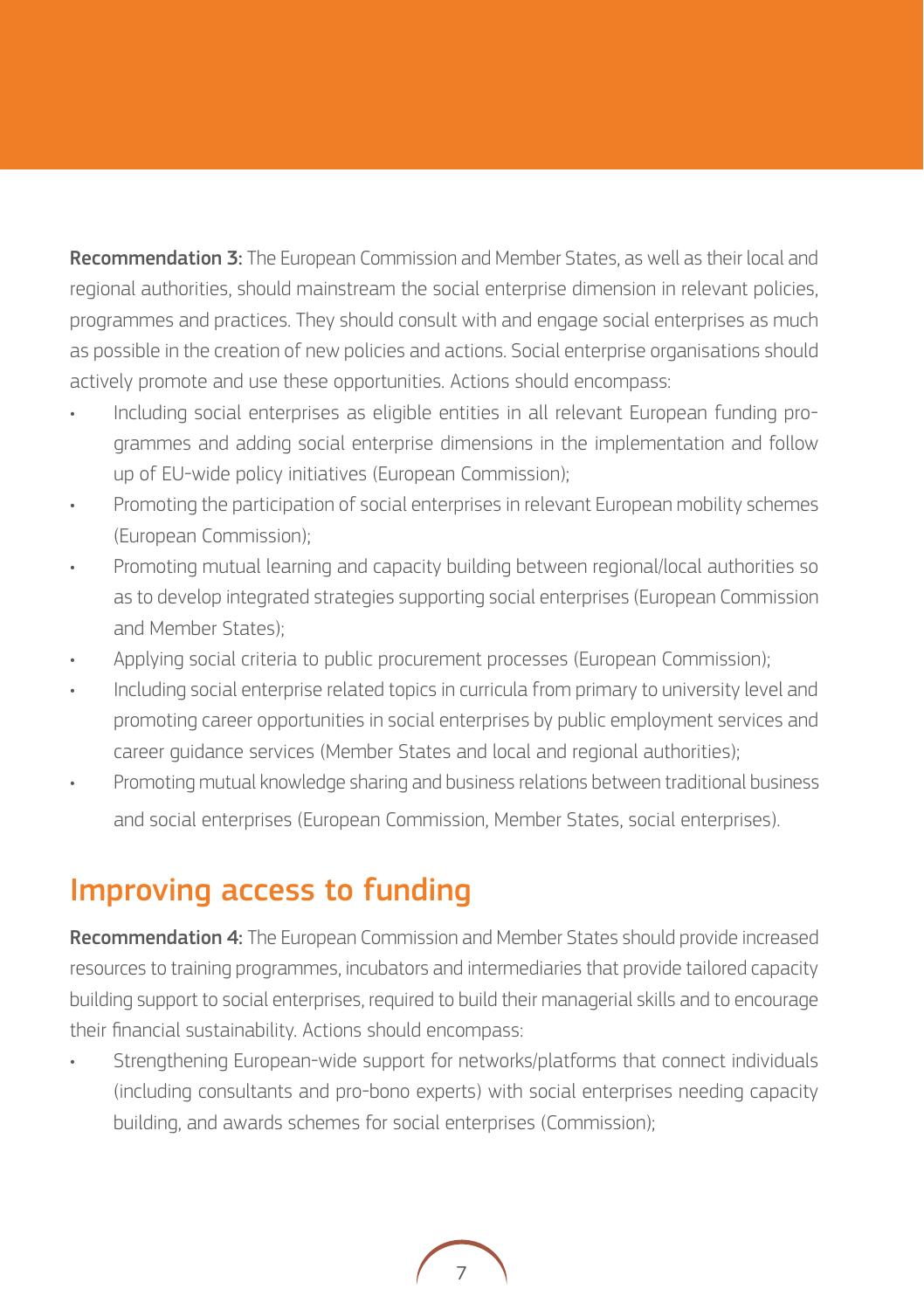Recommendation 3: The European Commission and Member States, as well as their local and regional authorities, should mainstream the social enterprise dimension in relevant policies, programmes and practices. They should consult with and engage social enterprises as much as possible in the creation of new policies and actions. Social enterprise organisations should actively promote and use these opportunities. Actions should encompass:

- Including social enterprises as eligible entities in all relevant European funding programmes and adding social enterprise dimensions in the implementation and follow up of EU-wide policy initiatives (European Commission);
- Promoting the participation of social enterprises in relevant European mobility schemes (European Commission);
- Promoting mutual learning and capacity building between regional/local authorities so as to develop integrated strategies supporting social enterprises (European Commission and Member States);
- Applying social criteria to public procurement processes (European Commission);
- Including social enterprise related topics in curricula from primary to university level and promoting career opportunities in social enterprises by public employment services and career guidance services (Member States and local and regional authorities);
- Promoting mutual knowledge sharing and business relations between traditional business and social enterprises (European Commission, Member States, social enterprises).

### Improving access to funding

Recommendation 4: The European Commission and Member States should provide increased resources to training programmes, incubators and intermediaries that provide tailored capacity building support to social enterprises, required to build their managerial skills and to encourage their financial sustainability. Actions should encompass:

• Strengthening European-wide support for networks/platforms that connect individuals (including consultants and pro-bono experts) with social enterprises needing capacity building, and awards schemes for social enterprises (Commission);

7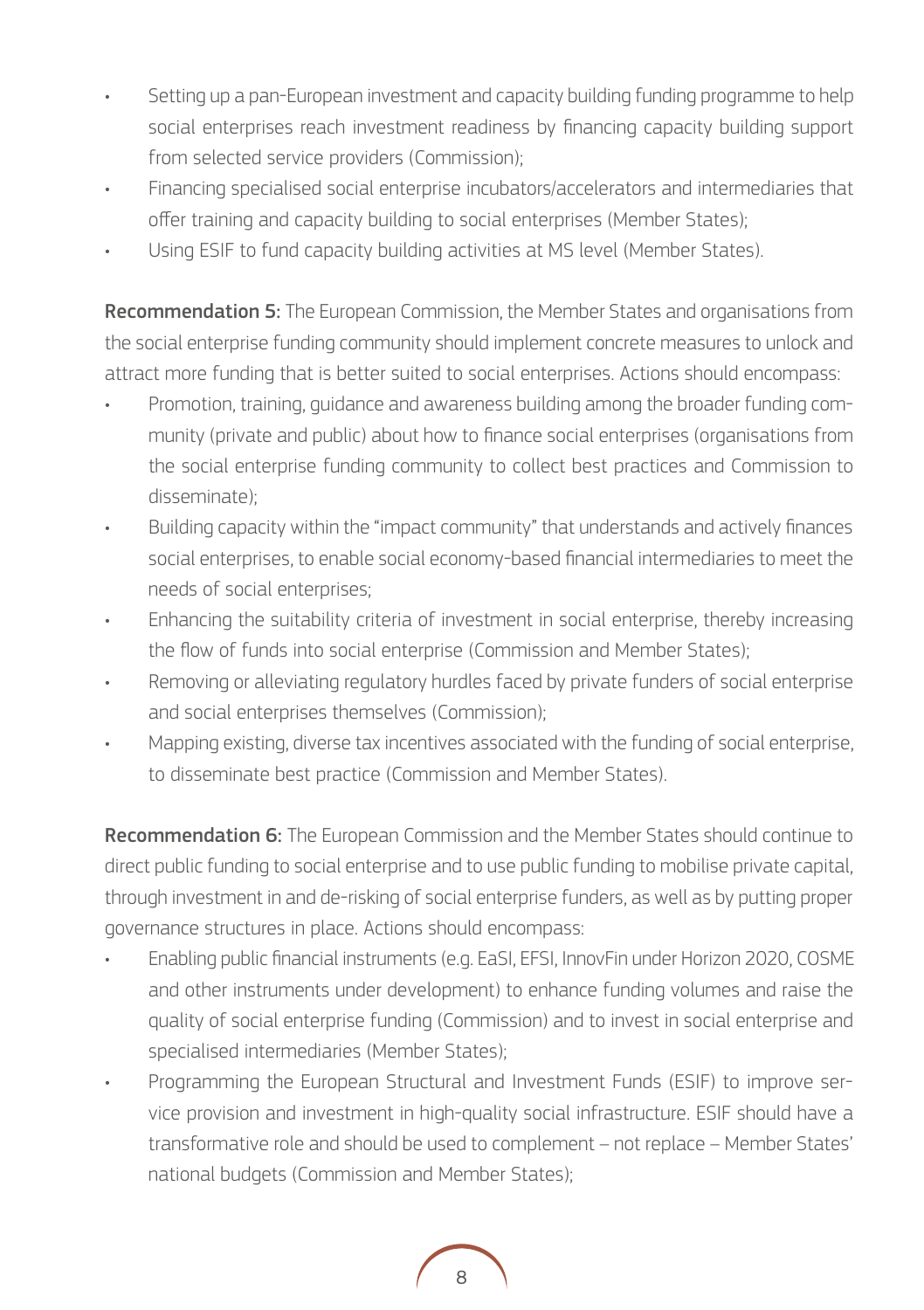- Setting up a pan-European investment and capacity building funding programme to help social enterprises reach investment readiness by financing capacity building support from selected service providers (Commission);
- Financing specialised social enterprise incubators/accelerators and intermediaries that offer training and capacity building to social enterprises (Member States);
- Using ESIF to fund capacity building activities at MS level (Member States).

Recommendation 5: The European Commission, the Member States and organisations from the social enterprise funding community should implement concrete measures to unlock and attract more funding that is better suited to social enterprises. Actions should encompass:

- Promotion, training, guidance and awareness building among the broader funding community (private and public) about how to finance social enterprises (organisations from the social enterprise funding community to collect best practices and Commission to disseminate);
- Building capacity within the "impact community" that understands and actively finances social enterprises, to enable social economy-based financial intermediaries to meet the needs of social enterprises;
- Enhancing the suitability criteria of investment in social enterprise, thereby increasing the flow of funds into social enterprise (Commission and Member States);
- Removing or alleviating regulatory hurdles faced by private funders of social enterprise and social enterprises themselves (Commission);
- Mapping existing, diverse tax incentives associated with the funding of social enterprise, to disseminate best practice (Commission and Member States).

Recommendation 6: The European Commission and the Member States should continue to direct public funding to social enterprise and to use public funding to mobilise private capital, through investment in and de-risking of social enterprise funders, as well as by putting proper governance structures in place. Actions should encompass:

- Enabling public financial instruments (e.g. EaSI, EFSI, InnovFin under Horizon 2020, COSME and other instruments under development) to enhance funding volumes and raise the quality of social enterprise funding (Commission) and to invest in social enterprise and specialised intermediaries (Member States);
- Programming the European Structural and Investment Funds (ESIF) to improve service provision and investment in high-quality social infrastructure. ESIF should have a transformative role and should be used to complement – not replace – Member States' national budgets (Commission and Member States);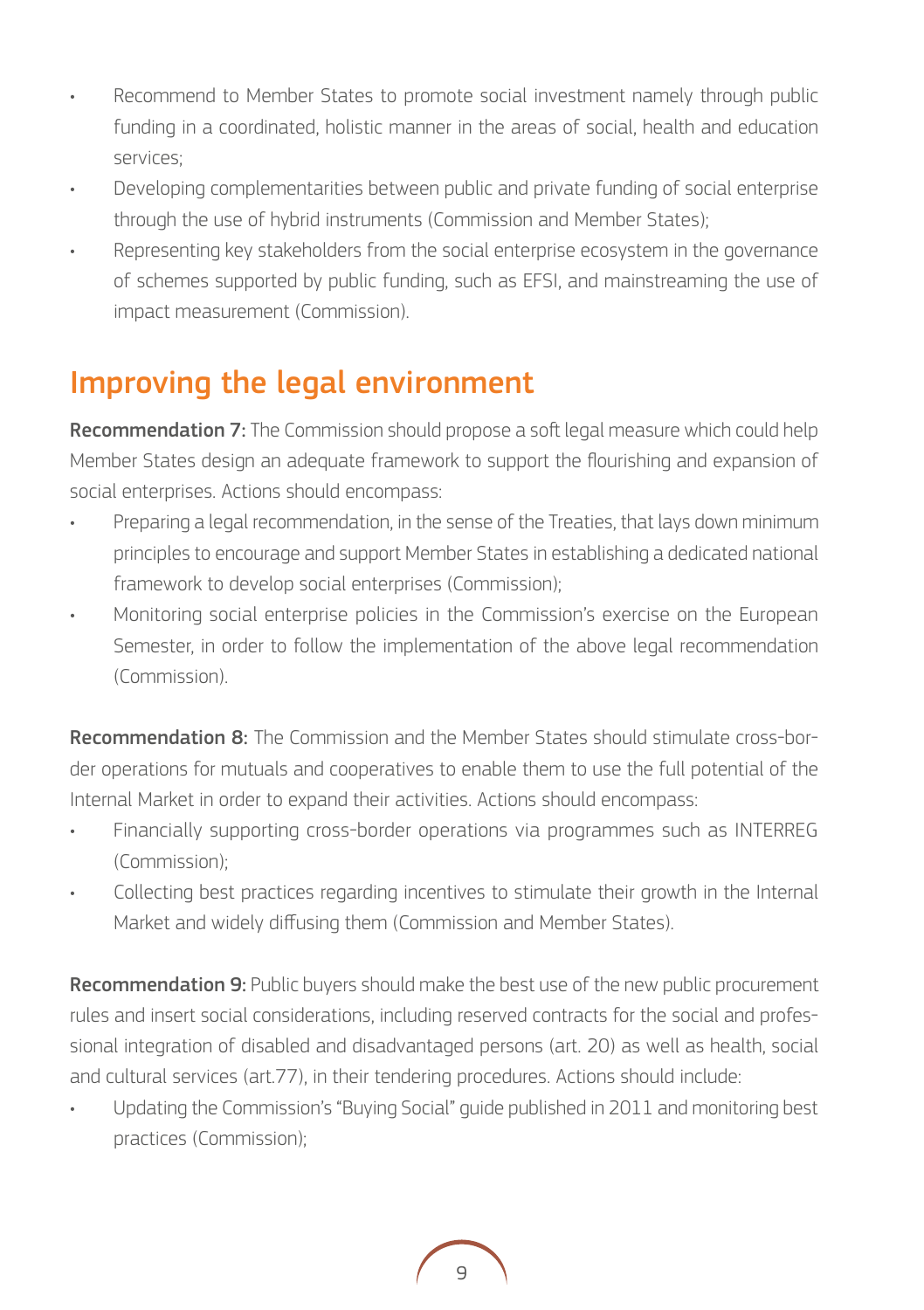- Recommend to Member States to promote social investment namely through public funding in a coordinated, holistic manner in the areas of social, health and education services;
- Developing complementarities between public and private funding of social enterprise through the use of hybrid instruments (Commission and Member States);
- Representing key stakeholders from the social enterprise ecosystem in the governance of schemes supported by public funding, such as EFSI, and mainstreaming the use of impact measurement (Commission).

## Improving the legal environment

Recommendation 7: The Commission should propose a soft legal measure which could help Member States design an adequate framework to support the flourishing and expansion of social enterprises. Actions should encompass:

- Preparing a legal recommendation, in the sense of the Treaties, that lays down minimum principles to encourage and support Member States in establishing a dedicated national framework to develop social enterprises (Commission);
- Monitoring social enterprise policies in the Commission's exercise on the European Semester, in order to follow the implementation of the above legal recommendation (Commission).

Recommendation 8: The Commission and the Member States should stimulate cross-border operations for mutuals and cooperatives to enable them to use the full potential of the Internal Market in order to expand their activities. Actions should encompass:

- Financially supporting cross-border operations via programmes such as INTERREG (Commission);
- Collecting best practices regarding incentives to stimulate their growth in the Internal Market and widely diffusing them (Commission and Member States).

**Recommendation 9:** Public buyers should make the best use of the new public procurement rules and insert social considerations, including reserved contracts for the social and professional integration of disabled and disadvantaged persons (art. 20) as well as health, social and cultural services (art.77), in their tendering procedures. Actions should include:

• Updating the Commission's "Buying Social" guide published in 2011 and monitoring best practices (Commission);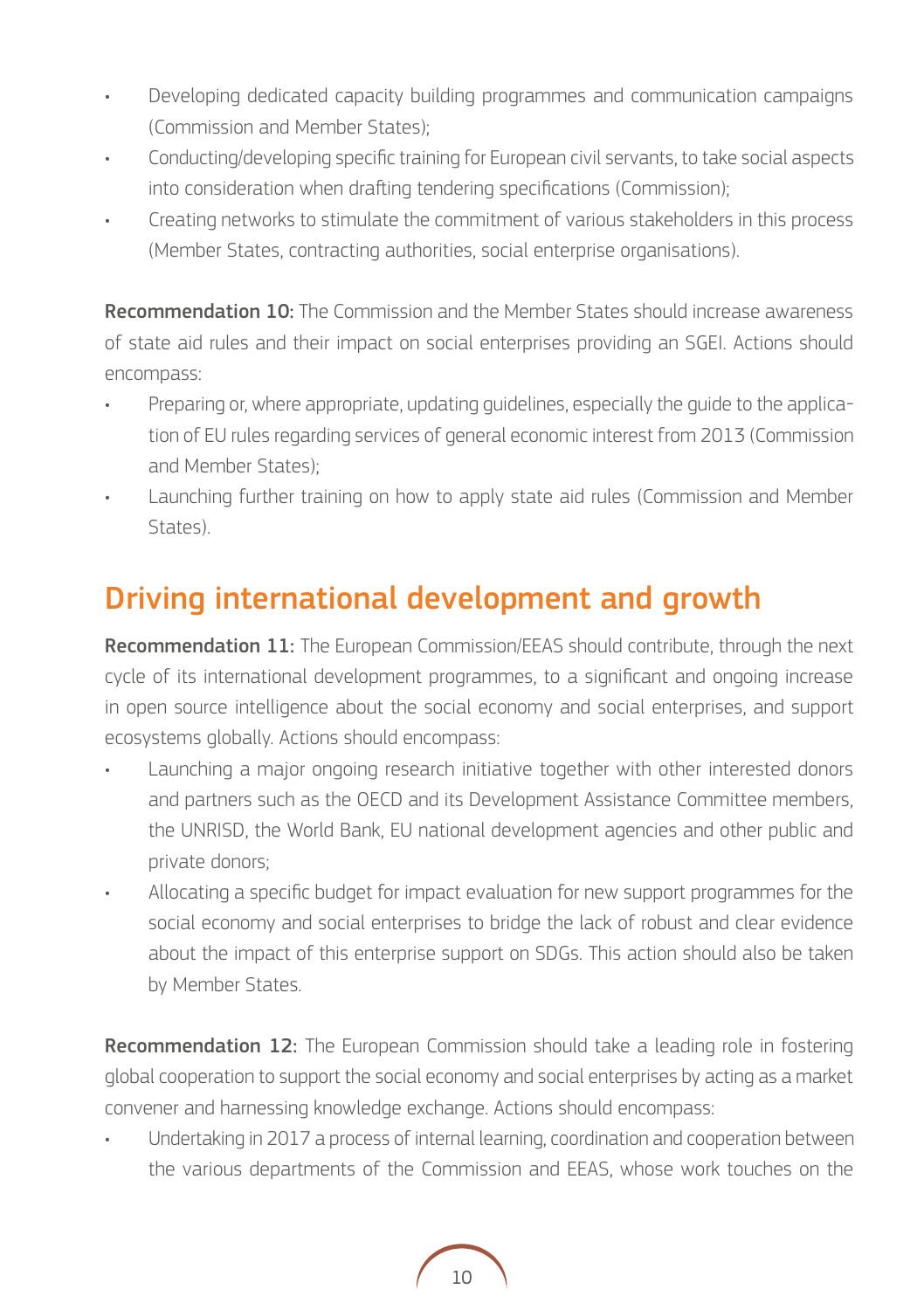- Developing dedicated capacity building programmes and communication campaigns (Commission and Member States);
- Conducting/developing specific training for European civil servants, to take social aspects into consideration when drafting tendering specifications (Commission);
- Creating networks to stimulate the commitment of various stakeholders in this process (Member States, contracting authorities, social enterprise organisations).

**Recommendation 10:** The Commission and the Member States should increase awareness of state aid rules and their impact on social enterprises providing an SGEI. Actions should encompass:

- Preparing or, where appropriate, updating guidelines, especially the guide to the application of EU rules regarding services of general economic interest from 2013 (Commission and Member States);
- Launching further training on how to apply state aid rules (Commission and Member States).

### Driving international development and growth

Recommendation 11: The European Commission/EEAS should contribute, through the next cycle of its international development programmes, to a significant and ongoing increase in open source intelligence about the social economy and social enterprises, and support ecosystems globally. Actions should encompass:

- Launching a major ongoing research initiative together with other interested donors and partners such as the OECD and its Development Assistance Committee members, the UNRISD, the World Bank, EU national development agencies and other public and private donors;
- Allocating a specific budget for impact evaluation for new support programmes for the social economy and social enterprises to bridge the lack of robust and clear evidence about the impact of this enterprise support on SDGs. This action should also be taken by Member States.

Recommendation 12: The European Commission should take a leading role in fostering global cooperation to support the social economy and social enterprises by acting as a market convener and harnessing knowledge exchange. Actions should encompass:

• Undertaking in 2017 a process of internal learning, coordination and cooperation between the various departments of the Commission and EEAS, whose work touches on the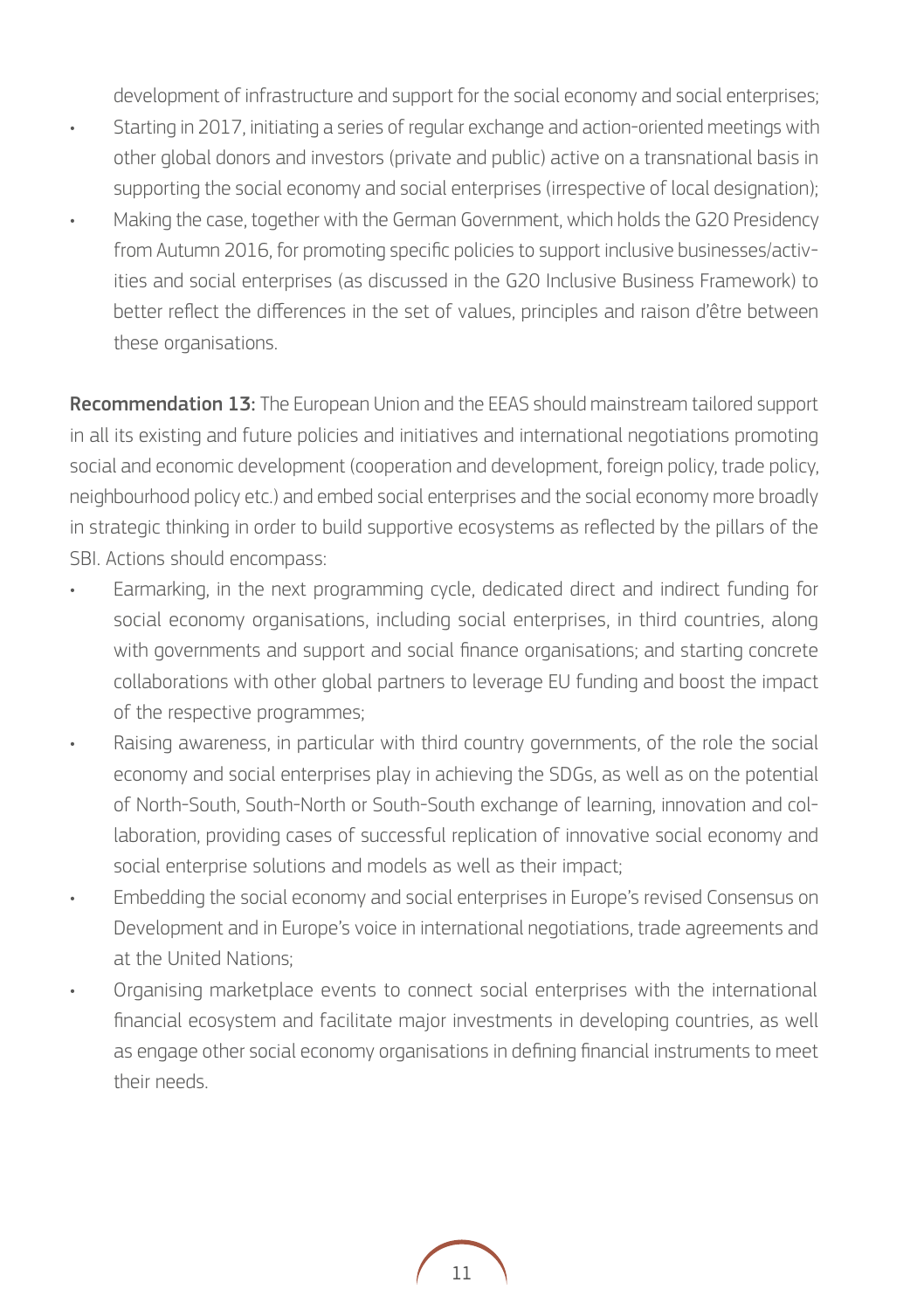development of infrastructure and support for the social economy and social enterprises;

- Starting in 2017, initiating a series of regular exchange and action-oriented meetings with other global donors and investors (private and public) active on a transnational basis in supporting the social economy and social enterprises (irrespective of local designation);
- Making the case, together with the German Government, which holds the G20 Presidency from Autumn 2016, for promoting specific policies to support inclusive businesses/activities and social enterprises (as discussed in the G20 Inclusive Business Framework) to better reflect the differences in the set of values, principles and raison d'être between these organisations.

Recommendation 13: The European Union and the EEAS should mainstream tailored support in all its existing and future policies and initiatives and international negotiations promoting social and economic development (cooperation and development, foreign policy, trade policy, neighbourhood policy etc.) and embed social enterprises and the social economy more broadly in strategic thinking in order to build supportive ecosystems as reflected by the pillars of the SBI. Actions should encompass:

- Earmarking, in the next programming cycle, dedicated direct and indirect funding for social economy organisations, including social enterprises, in third countries, along with governments and support and social finance organisations; and starting concrete collaborations with other global partners to leverage EU funding and boost the impact of the respective programmes;
- Raising awareness, in particular with third country governments, of the role the social economy and social enterprises play in achieving the SDGs, as well as on the potential of North-South, South-North or South-South exchange of learning, innovation and collaboration, providing cases of successful replication of innovative social economy and social enterprise solutions and models as well as their impact;
- Embedding the social economy and social enterprises in Europe's revised Consensus on Development and in Europe's voice in international negotiations, trade agreements and at the United Nations;
- Organising marketplace events to connect social enterprises with the international financial ecosystem and facilitate major investments in developing countries, as well as engage other social economy organisations in defining financial instruments to meet their needs.